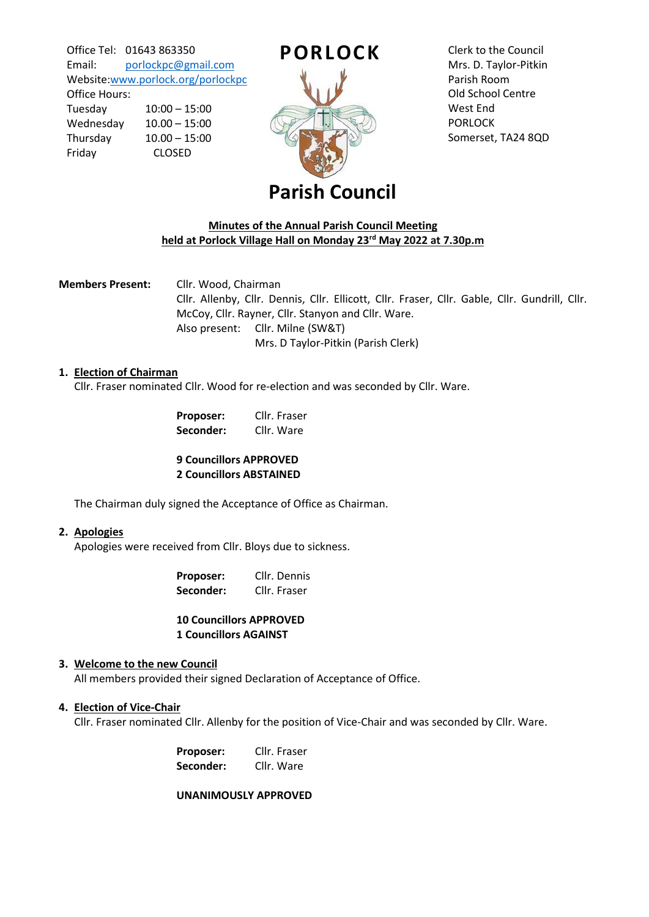Office Tel: 01643 863350 Email: [porlockpc@gmail.com](mailto:porlockpc@gmail.com) Website[:www.porlock.org/porlockpc](http://www.porlock.org/porlockpc)

Office Hours: Tuesday 10:00 – 15:00 Wednesday 10.00 – 15:00 Thursday 10.00 – 15:00 Friday CLOSED



Clerk to the Council Mrs. D. Taylor-Pitkin Parish Room Old School Centre West End PORLOCK Somerset, TA24 8QD

# **Parish Council**

# **Minutes of the Annual Parish Council Meeting held at Porlock Village Hall on Monday 23rd May 2022 at 7.30p.m**

**Members Present:** Cllr. Wood, Chairman Cllr. Allenby, Cllr. Dennis, Cllr. Ellicott, Cllr. Fraser, Cllr. Gable, Cllr. Gundrill, Cllr. McCoy, Cllr. Rayner, Cllr. Stanyon and Cllr. Ware. Also present: Cllr. Milne (SW&T) Mrs. D Taylor-Pitkin (Parish Clerk)

#### **1. Election of Chairman**

Cllr. Fraser nominated Cllr. Wood for re-election and was seconded by Cllr. Ware.

| Proposer: | Cllr. Fraser |
|-----------|--------------|
| Seconder: | Cllr. Ware   |

**9 Councillors APPROVED 2 Councillors ABSTAINED**

The Chairman duly signed the Acceptance of Office as Chairman.

#### **2. Apologies**

Apologies were received from Cllr. Bloys due to sickness.

| Proposer: | Cllr. Dennis |
|-----------|--------------|
| Seconder: | Cllr. Fraser |

# **10 Councillors APPROVED 1 Councillors AGAINST**

# **3. Welcome to the new Council**

All members provided their signed Declaration of Acceptance of Office.

# **4. Election of Vice-Chair**

Cllr. Fraser nominated Cllr. Allenby for the position of Vice-Chair and was seconded by Cllr. Ware.

| Proposer: | Cllr. Fraser |
|-----------|--------------|
| Seconder: | Cllr. Ware   |

**UNANIMOUSLY APPROVED**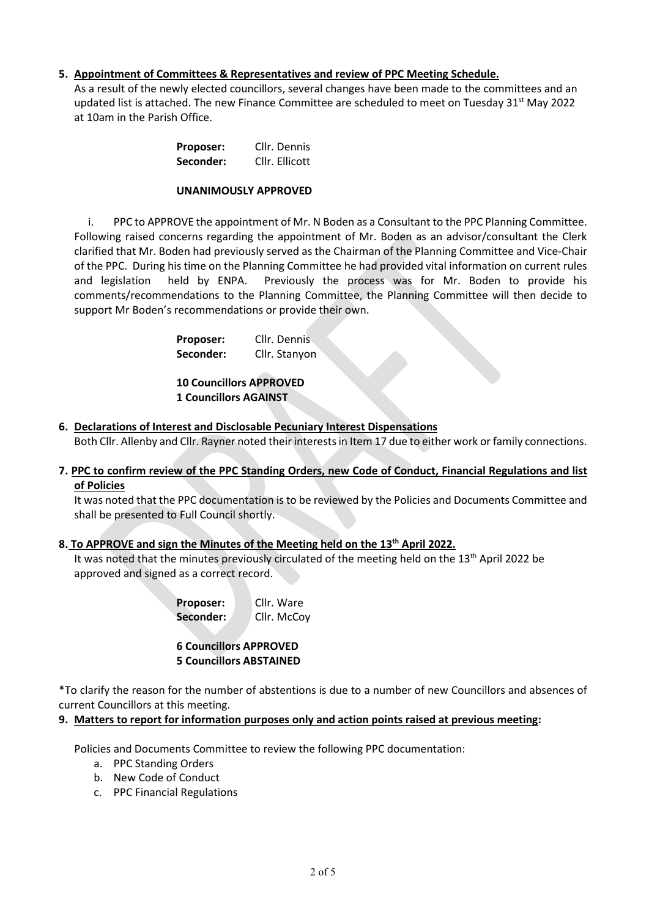# **5. Appointment of Committees & Representatives and review of PPC Meeting Schedule.**

As a result of the newly elected councillors, several changes have been made to the committees and an updated list is attached. The new Finance Committee are scheduled to meet on Tuesday  $31^{st}$  May 2022 at 10am in the Parish Office.

| Proposer: | Cllr. Dennis   |
|-----------|----------------|
| Seconder: | Cllr. Ellicott |

#### **UNANIMOUSLY APPROVED**

i. PPC to APPROVE the appointment of Mr. N Boden as a Consultant to the PPC Planning Committee. Following raised concerns regarding the appointment of Mr. Boden as an advisor/consultant the Clerk clarified that Mr. Boden had previously served as the Chairman of the Planning Committee and Vice-Chair of the PPC. During his time on the Planning Committee he had provided vital information on current rules and legislation held by ENPA. Previously the process was for Mr. Boden to provide his comments/recommendations to the Planning Committee, the Planning Committee will then decide to support Mr Boden's recommendations or provide their own.

> **Proposer:** Cllr. Dennis  **Seconder:** Cllr. Stanyon

**10 Councillors APPROVED 1 Councillors AGAINST**

**6. Declarations of Interest and Disclosable Pecuniary Interest Dispensations**

Both Cllr. Allenby and Cllr. Rayner noted their interests in Item 17 due to either work or family connections.

**7. PPC to confirm review of the PPC Standing Orders, new Code of Conduct, Financial Regulations and list of Policies**

It was noted that the PPC documentation is to be reviewed by the Policies and Documents Committee and shall be presented to Full Council shortly.

# **8. To APPROVE and sign the Minutes of the Meeting held on the 13th April 2022.**

It was noted that the minutes previously circulated of the meeting held on the  $13<sup>th</sup>$  April 2022 be approved and signed as a correct record.

> **Proposer:** Cllr. Ware **Seconder:** Cllr. McCoy

**6 Councillors APPROVED**

#### **5 Councillors ABSTAINED**

\*To clarify the reason for the number of abstentions is due to a number of new Councillors and absences of current Councillors at this meeting.

#### **9. Matters to report for information purposes only and action points raised at previous meeting:**

Policies and Documents Committee to review the following PPC documentation:

- a. PPC Standing Orders
- b. New Code of Conduct
- c. PPC Financial Regulations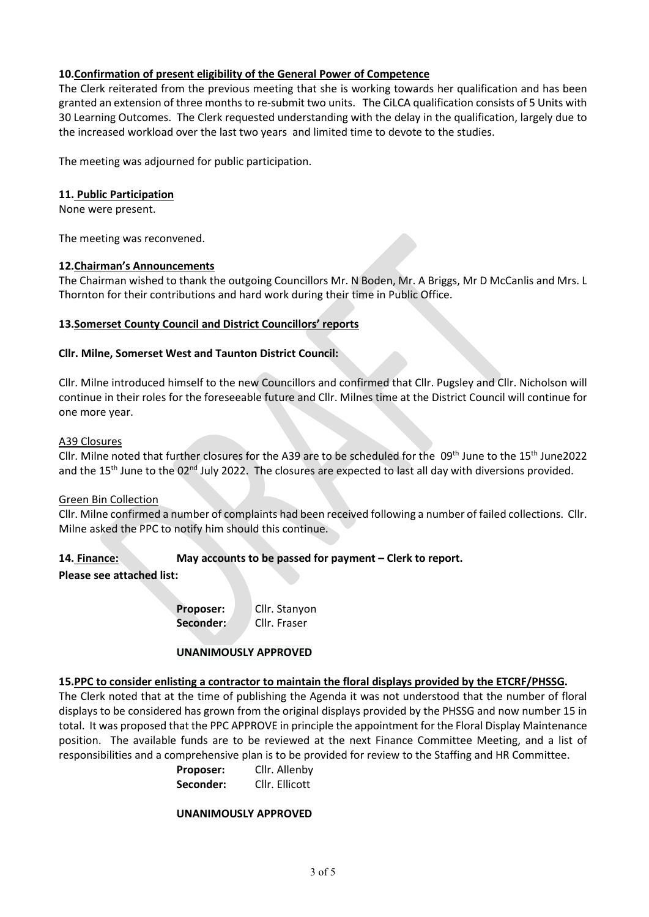# **10.Confirmation of present eligibility of the General Power of Competence**

The Clerk reiterated from the previous meeting that she is working towards her qualification and has been granted an extension of three months to re-submit two units. The CiLCA qualification consists of 5 Units with 30 Learning Outcomes. The Clerk requested understanding with the delay in the qualification, largely due to the increased workload over the last two years and limited time to devote to the studies.

The meeting was adjourned for public participation.

# **11. Public Participation**

None were present.

The meeting was reconvened.

#### **12.Chairman's Announcements**

The Chairman wished to thank the outgoing Councillors Mr. N Boden, Mr. A Briggs, Mr D McCanlis and Mrs. L Thornton for their contributions and hard work during their time in Public Office.

# **13.Somerset County Council and District Councillors' reports**

# **Cllr. Milne, Somerset West and Taunton District Council:**

Cllr. Milne introduced himself to the new Councillors and confirmed that Cllr. Pugsley and Cllr. Nicholson will continue in their roles for the foreseeable future and Cllr. Milnes time at the District Council will continue for one more year.

#### A39 Closures

Cllr. Milne noted that further closures for the A39 are to be scheduled for the 09th June to the 15<sup>th</sup> June2022 and the 15<sup>th</sup> June to the 02<sup>nd</sup> July 2022. The closures are expected to last all day with diversions provided.

#### Green Bin Collection

Cllr. Milne confirmed a number of complaints had been received following a number of failed collections. Cllr. Milne asked the PPC to notify him should this continue.

# **14. Finance: May accounts to be passed for payment – Clerk to report.**

**Please see attached list:**

**Proposer:** Cllr. Stanyon **Seconder:** Cllr. Fraser

# **UNANIMOUSLY APPROVED**

#### **15.PPC to consider enlisting a contractor to maintain the floral displays provided by the ETCRF/PHSSG.**

The Clerk noted that at the time of publishing the Agenda it was not understood that the number of floral displays to be considered has grown from the original displays provided by the PHSSG and now number 15 in total. It was proposed that the PPC APPROVE in principle the appointment for the Floral Display Maintenance position. The available funds are to be reviewed at the next Finance Committee Meeting, and a list of responsibilities and a comprehensive plan is to be provided for review to the Staffing and HR Committee.

| Proposer: | Cllr. Allenby  |
|-----------|----------------|
| Seconder: | Cllr. Ellicott |

#### **UNANIMOUSLY APPROVED**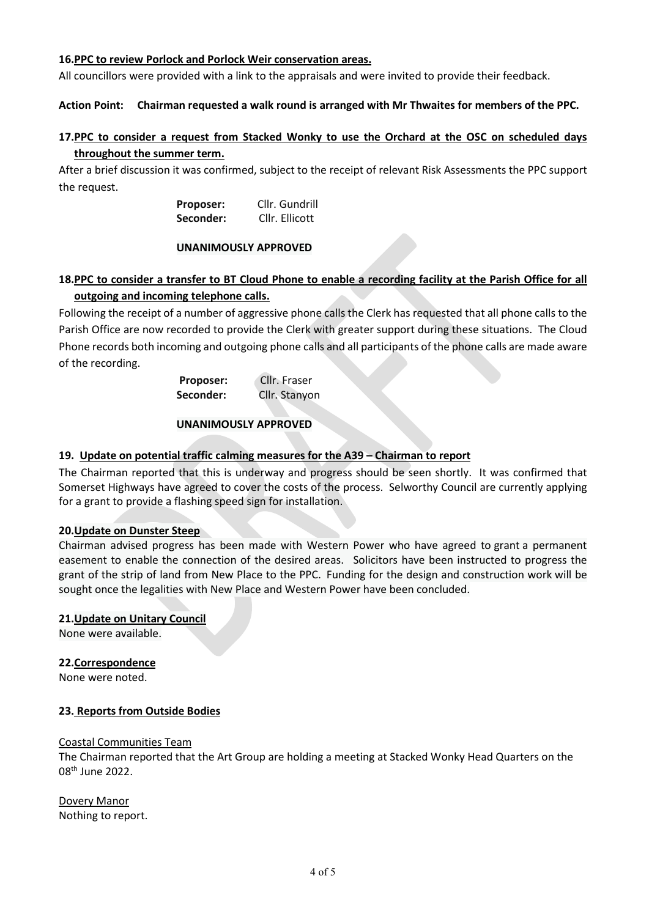#### **16.PPC to review Porlock and Porlock Weir conservation areas.**

All councillors were provided with a link to the appraisals and were invited to provide their feedback.

#### **Action Point: Chairman requested a walk round is arranged with Mr Thwaites for members of the PPC.**

# **17.PPC to consider a request from Stacked Wonky to use the Orchard at the OSC on scheduled days throughout the summer term.**

After a brief discussion it was confirmed, subject to the receipt of relevant Risk Assessments the PPC support the request.

> **Proposer:** Cllr. Gundrill **Seconder:** Cllr. Ellicott

#### **UNANIMOUSLY APPROVED**

# **18.PPC to consider a transfer to BT Cloud Phone to enable a recording facility at the Parish Office for all outgoing and incoming telephone calls.**

Following the receipt of a number of aggressive phone calls the Clerk has requested that all phone calls to the Parish Office are now recorded to provide the Clerk with greater support during these situations. The Cloud Phone records both incoming and outgoing phone calls and all participants of the phone calls are made aware of the recording.

| Proposer: | Cllr. Fraser  |
|-----------|---------------|
| Seconder: | Cllr. Stanyon |

#### **UNANIMOUSLY APPROVED**

# **19. Update on potential traffic calming measures for the A39 – Chairman to report**

The Chairman reported that this is underway and progress should be seen shortly. It was confirmed that Somerset Highways have agreed to cover the costs of the process. Selworthy Council are currently applying for a grant to provide a flashing speed sign for installation.

#### **20.Update on Dunster Steep**

Chairman advised progress has been made with Western Power who have agreed to grant a permanent easement to enable the connection of the desired areas. Solicitors have been instructed to progress the grant of the strip of land from New Place to the PPC. Funding for the design and construction work will be sought once the legalities with New Place and Western Power have been concluded.

#### **21.Update on Unitary Council**

None were available.

#### **22.Correspondence**

None were noted.

#### **23. Reports from Outside Bodies**

#### Coastal Communities Team

The Chairman reported that the Art Group are holding a meeting at Stacked Wonky Head Quarters on the 08th June 2022.

Dovery Manor Nothing to report.